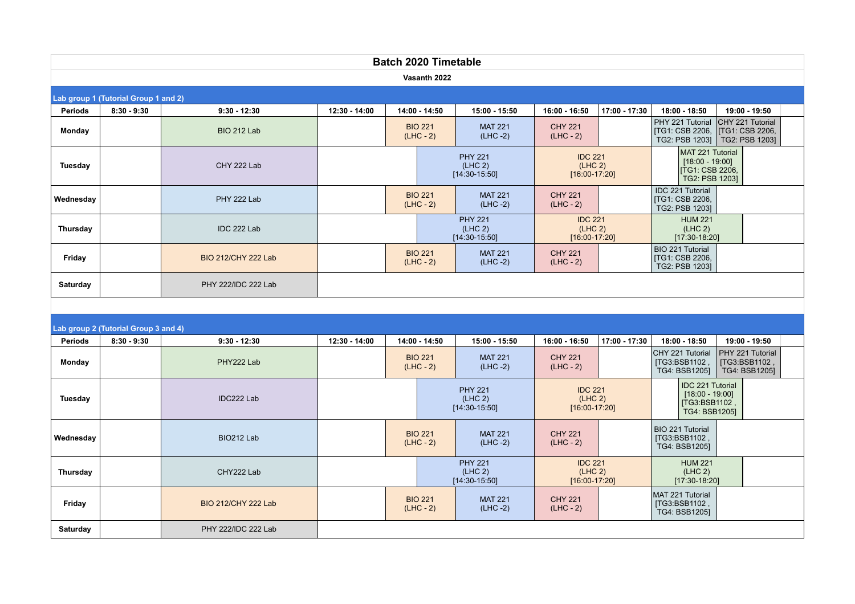| <b>Batch 2020 Timetable</b>          |                                      |                            |                                              |                                              |                                              |                                                          |                                              |                                                                                   |                                                              |  |  |  |
|--------------------------------------|--------------------------------------|----------------------------|----------------------------------------------|----------------------------------------------|----------------------------------------------|----------------------------------------------------------|----------------------------------------------|-----------------------------------------------------------------------------------|--------------------------------------------------------------|--|--|--|
| Vasanth 2022                         |                                      |                            |                                              |                                              |                                              |                                                          |                                              |                                                                                   |                                                              |  |  |  |
| Lab group 1 (Tutorial Group 1 and 2) |                                      |                            |                                              |                                              |                                              |                                                          |                                              |                                                                                   |                                                              |  |  |  |
| <b>Periods</b>                       | $8:30 - 9:30$                        | $9:30 - 12:30$             | 12:30 - 14:00                                | 14:00 - 14:50                                | 15:00 - 15:50                                | 16:00 - 16:50                                            | 17:00 - 17:30                                | 18:00 - 18:50                                                                     | 19:00 - 19:50                                                |  |  |  |
| Monday                               |                                      | BIO 212 Lab                |                                              | <b>BIO 221</b><br>$(LHC - 2)$                | <b>MAT 221</b><br>$(LHC -2)$                 | <b>CHY 221</b><br>$(LHC - 2)$                            |                                              | PHY 221 Tutorial<br>[TG1: CSB 2206,<br>TG2: PSB 1203]                             | CHY 221 Tutorial<br><b>[TG1: CSB 2206,</b><br>TG2: PSB 1203] |  |  |  |
| <b>Tuesday</b>                       |                                      | CHY 222 Lab                | <b>PHY 221</b><br>(LHC 2)<br>$[14:30-15:50]$ |                                              |                                              | <b>IDC 221</b><br>(LHC <sub>2</sub> )<br>$[16:00-17:20]$ |                                              | MAT 221 Tutorial<br>$[18:00 - 19:00]$<br><b>ITG1: CSB 2206.</b><br>TG2: PSB 1203] |                                                              |  |  |  |
| Wednesday                            |                                      | PHY 222 Lab                |                                              | <b>BIO 221</b><br>$(LHC - 2)$                | <b>MAT 221</b><br>$(LHC -2)$                 | <b>CHY 221</b><br>$(LHC - 2)$                            |                                              | IDC 221 Tutorial<br><b>[TG1: CSB 2206,</b><br>TG2: PSB 1203]                      |                                                              |  |  |  |
| Thursday                             |                                      | IDC 222 Lab                | <b>PHY 221</b><br>(LHC 2)<br>$[14:30-15:50]$ |                                              | <b>IDC 221</b><br>(LHC 2)<br>$[16:00-17:20]$ |                                                          | <b>HUM 221</b><br>(LHC 2)<br>$[17:30-18:20]$ |                                                                                   |                                                              |  |  |  |
| Friday                               |                                      | BIO 212/CHY 222 Lab        |                                              | <b>BIO 221</b><br>$(LHC - 2)$                | <b>MAT 221</b><br>$(LHC -2)$                 | <b>CHY 221</b><br>$(LHC - 2)$                            |                                              | BIO 221 Tutorial<br>[TG1: CSB 2206,<br>TG2: PSB 1203]                             |                                                              |  |  |  |
| Saturday                             |                                      | PHY 222/IDC 222 Lab        |                                              |                                              |                                              |                                                          |                                              |                                                                                   |                                                              |  |  |  |
|                                      |                                      |                            |                                              |                                              |                                              |                                                          |                                              |                                                                                   |                                                              |  |  |  |
|                                      | Lab group 2 (Tutorial Group 3 and 4) |                            |                                              |                                              |                                              |                                                          |                                              |                                                                                   |                                                              |  |  |  |
| <b>Periods</b>                       | $8:30 - 9:30$                        | $9:30 - 12:30$             | 12:30 - 14:00                                | 14:00 - 14:50                                | 15:00 - 15:50                                | 16:00 - 16:50                                            | 17:00 - 17:30                                | 18:00 - 18:50                                                                     | 19:00 - 19:50                                                |  |  |  |
| Monday                               |                                      | PHY222 Lab                 |                                              | <b>BIO 221</b><br>$(LHC - 2)$                | <b>MAT 221</b><br>$(LHC -2)$                 | <b>CHY 221</b><br>$(LHC - 2)$                            |                                              | CHY 221 Tutorial<br>[TG3:BSB1102,<br>TG4: BSB12051                                | PHY 221 Tutorial<br>[TG3:BSB1102,<br>TG4: BSB12051           |  |  |  |
| Tuesday                              |                                      | IDC222 Lab                 |                                              | <b>PHY 221</b><br>(LHC 2)<br>$[14:30-15:50]$ |                                              | <b>IDC 221</b><br>(LHC 2)<br>$[16:00-17:20]$             |                                              | IDC 221 Tutorial<br>$[18:00 - 19:00]$<br>[TG3:BSB1102]<br>TG4: BSB1205]           |                                                              |  |  |  |
| Wednesday                            |                                      | BIO212 Lab                 |                                              | <b>BIO 221</b><br>$(LHC - 2)$                | <b>MAT 221</b><br>$(LHC -2)$                 | <b>CHY 221</b><br>$(LHC - 2)$                            |                                              | BIO 221 Tutorial<br>[TG3:BSB1102<br>TG4: BSB1205]                                 |                                                              |  |  |  |
| Thursday                             |                                      | CHY222 Lab                 |                                              | <b>PHY 221</b><br>(LHC 2)<br>$[14:30-15:50]$ |                                              | <b>IDC 221</b><br>(LHC <sub>2</sub> )<br>$[16:00-17:20]$ |                                              | <b>HUM 221</b><br>(LHC <sub>2</sub> )<br>$[17:30-18:20]$                          |                                                              |  |  |  |
| Friday                               |                                      | <b>BIO 212/CHY 222 Lab</b> |                                              | <b>BIO 221</b><br>$(LHC - 2)$                | <b>MAT 221</b><br>$(LHC -2)$                 | <b>CHY 221</b><br>$(LHC - 2)$                            |                                              | MAT 221 Tutorial<br>[TG3:BSB1102]<br>TG4: BSB12051                                |                                                              |  |  |  |
| Saturday                             |                                      | PHY 222/IDC 222 Lab        |                                              |                                              |                                              |                                                          |                                              |                                                                                   |                                                              |  |  |  |